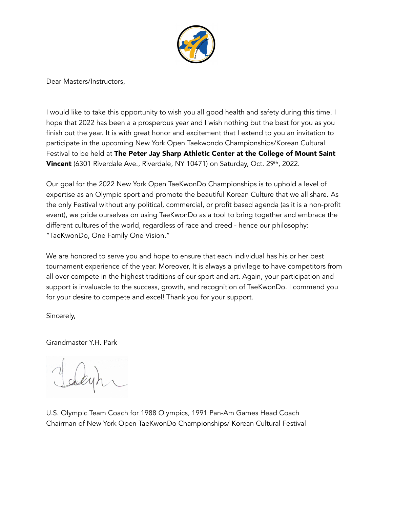

Dear Masters/Instructors,

I would like to take this opportunity to wish you all good health and safety during this time. I hope that 2022 has been a a prosperous year and I wish nothing but the best for you as you finish out the year. It is with great honor and excitement that I extend to you an invitation to participate in the upcoming New York Open Taekwondo Championships/Korean Cultural Festival to be held at The Peter Jay Sharp Athletic Center at the College of Mount Saint Vincent (6301 Riverdale Ave., Riverdale, NY 10471) on Saturday, Oct. 29th, 2022.

Our goal for the 2022 New York Open TaeKwonDo Championships is to uphold a level of expertise as an Olympic sport and promote the beautiful Korean Culture that we all share. As the only Festival without any political, commercial, or profit based agenda (as it is a non-profit event), we pride ourselves on using TaeKwonDo as a tool to bring together and embrace the different cultures of the world, regardless of race and creed - hence our philosophy: "TaeKwonDo, One Family One Vision."

We are honored to serve you and hope to ensure that each individual has his or her best tournament experience of the year. Moreover, It is always a privilege to have competitors from all over compete in the highest traditions of our sport and art. Again, your participation and support is invaluable to the success, growth, and recognition of TaeKwonDo. I commend you for your desire to compete and excel! Thank you for your support.

Sincerely,

Grandmaster Y.H. Park

U.S. Olympic Team Coach for 1988 Olympics, 1991 Pan-Am Games Head Coach Chairman of New York Open TaeKwonDo Championships/ Korean Cultural Festival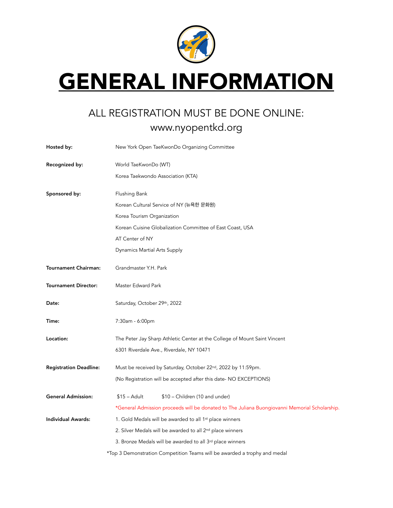

## **GENERAL INFORMATION**

## ALL REGISTRATION MUST BE DONE ONLINE: www.nyopentkd.org

| Hosted by:                    | New York Open TaeKwonDo Organizing Committee                                                  |  |  |  |
|-------------------------------|-----------------------------------------------------------------------------------------------|--|--|--|
| Recognized by:                | World TaeKwonDo (WT)                                                                          |  |  |  |
|                               | Korea Taekwondo Association (KTA)                                                             |  |  |  |
| Sponsored by:                 | Flushing Bank                                                                                 |  |  |  |
|                               | Korean Cultural Service of NY (뉴욕한 문화원)                                                       |  |  |  |
|                               | Korea Tourism Organization                                                                    |  |  |  |
|                               | Korean Cuisine Globalization Committee of East Coast, USA                                     |  |  |  |
|                               | AT Center of NY                                                                               |  |  |  |
|                               | Dynamics Martial Arts Supply                                                                  |  |  |  |
| <b>Tournament Chairman:</b>   | Grandmaster Y.H. Park                                                                         |  |  |  |
| <b>Tournament Director:</b>   | Master Edward Park                                                                            |  |  |  |
| Date:                         | Saturday, October 29th, 2022                                                                  |  |  |  |
| Time:                         | 7:30am - 6:00pm                                                                               |  |  |  |
| Location:                     | The Peter Jay Sharp Athletic Center at the College of Mount Saint Vincent                     |  |  |  |
|                               | 6301 Riverdale Ave., Riverdale, NY 10471                                                      |  |  |  |
| <b>Registration Deadline:</b> | Must be received by Saturday, October 22nd, 2022 by 11:59pm.                                  |  |  |  |
|                               | (No Registration will be accepted after this date- NO EXCEPTIONS)                             |  |  |  |
| <b>General Admission:</b>     | $$15 - Adult$<br>\$10 - Children (10 and under)                                               |  |  |  |
|                               | *General Admission proceeds will be donated to The Juliana Buongiovanni Memorial Scholarship. |  |  |  |
| <b>Individual Awards:</b>     | 1. Gold Medals will be awarded to all 1st place winners                                       |  |  |  |
|                               | 2. Silver Medals will be awarded to all 2nd place winners                                     |  |  |  |
|                               | 3. Bronze Medals will be awarded to all 3rd place winners                                     |  |  |  |
|                               | *Top 3 Demonstration Competition Teams will be awarded a trophy and medal                     |  |  |  |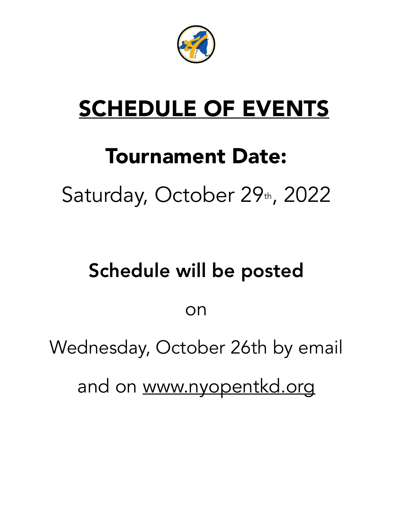

# SCHEDULE OF EVENTS

# Tournament Date: Saturday, October 29th, 2022

# Schedule will be posted

on

Wednesday, October 26th by email

and on [www.nyopentkd.org](http://www.nyopentkd.org)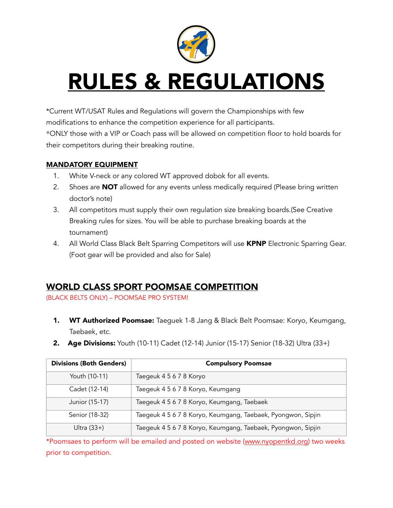

# RULES & REGULATIONS

\*Current WT/USAT Rules and Regulations will govern the Championships with few modifications to enhance the competition experience for all participants. \*ONLY those with a VIP or Coach pass will be allowed on competition floor to hold boards for their competitors during their breaking routine.

#### MANDATORY EQUIPMENT

- 1. White V-neck or any colored WT approved dobok for all events.
- 2. Shoes are **NOT** allowed for any events unless medically required (Please bring written doctor's note)
- 3. All competitors must supply their own regulation size breaking boards.(See Creative Breaking rules for sizes. You will be able to purchase breaking boards at the tournament)
- 4. All World Class Black Belt Sparring Competitors will use KPNP Electronic Sparring Gear. (Foot gear will be provided and also for Sale)

### WORLD CLASS SPORT POOMSAE COMPETITION

(BLACK BELTS ONLY) – POOMSAE PRO SYSTEM!

- **1. WT Authorized Poomsae:** Taeguek 1-8 Jang & Black Belt Poomsae: Koryo, Keumgang, Taebaek, etc.
- **2.** Age Divisions: Youth (10-11) Cadet (12-14) Junior (15-17) Senior (18-32) Ultra (33+)

| <b>Divisions (Both Genders)</b> | <b>Compulsory Poomsae</b>                                    |
|---------------------------------|--------------------------------------------------------------|
| Youth (10-11)                   | Taegeuk 4 5 6 7 8 Koryo                                      |
| Cadet (12-14)                   | Taegeuk 4 5 6 7 8 Koryo, Keumgang                            |
| Junior (15-17)                  | Taegeuk 4 5 6 7 8 Koryo, Keumgang, Taebaek                   |
| Senior (18-32)                  | Taegeuk 4 5 6 7 8 Koryo, Keumgang, Taebaek, Pyongwon, Sipjin |
| Ultra $(33+)$                   | Taegeuk 4 5 6 7 8 Koryo, Keumgang, Taebaek, Pyongwon, Sipjin |

\*Poomsaes to perform will be emailed and posted on website [\(www.nyopentkd.org](http://www.nyopentkd.org/)) two weeks prior to competition.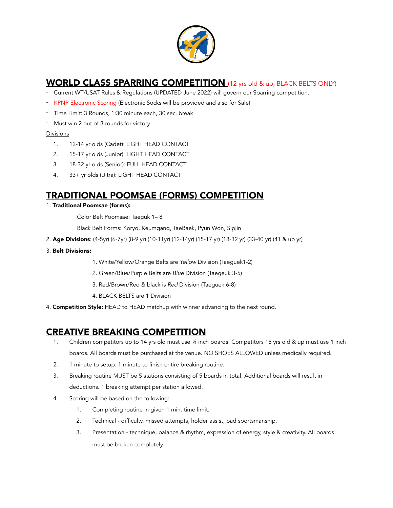

### WORLD CLASS SPARRING COMPETITION (12 yrs old & up, BLACK BELTS ONLY)

- Current WT/USAT Rules & Regulations (UPDATED June 2022) will govern our Sparring competition.
- KPNP Electronic Scoring (Electronic Socks will be provided and also for Sale)
- Time Limit: 3 Rounds, 1:30 minute each, 30 sec. break
- Must win 2 out of 3 rounds for victory

#### Divisions

- 1. 12-14 yr olds (Cadet): LIGHT HEAD CONTACT
- 2. 15-17 yr olds (Junior): LIGHT HEAD CONTACT
- 3. 18-32 yr olds (Senior): FULL HEAD CONTACT
- 4. 33+ yr olds (Ultra): LIGHT HEAD CONTACT

### TRADITIONAL POOMSAE (FORMS) COMPETITION

1. Traditional Poomsae (forms):

Color Belt Poomsae: Taeguk 1– 8

Black Belt Forms: Koryo, Keumgang, TaeBaek, Pyun Won, Sipjin

- 2. Age Divisions: (4-5yr) (6-7yr) (8-9 yr) (10-11yr) (12-14yr) (15-17 yr) (18-32 yr) (33-40 yr) (41 & up yr)
- 3. Belt Divisions:
	- 1. White/Yellow/Orange Belts are *Yellow* Division (Taeguek1-2)
	- 2. Green/Blue/Purple Belts are *Blue* Division (Taegeuk 3-5)
	- 3. Red/Brown/Red & black is *Red* Division (Taeguek 6-8)
	- 4. BLACK BELTS are 1 Division
- 4. Competition Style: HEAD to HEAD matchup with winner advancing to the next round.

### CREATIVE BREAKING COMPETITION

- 1. Children competitors up to 14 yrs old must use ¼ inch boards. Competitors 15 yrs old & up must use 1 inch boards. All boards must be purchased at the venue. NO SHOES ALLOWED unless medically required.
- 2. 1 minute to setup. 1 minute to finish entire breaking routine.
- 3. Breaking routine MUST be 5 stations consisting of 5 boards in total. Additional boards will result in deductions. 1 breaking attempt per station allowed.
- 4. Scoring will be based on the following:
	- 1. Completing routine in given 1 min. time limit.
	- 2. Technical difficulty, missed attempts, holder assist, bad sportsmanship.
	- 3. Presentation technique, balance & rhythm, expression of energy, style & creativity. All boards must be broken completely.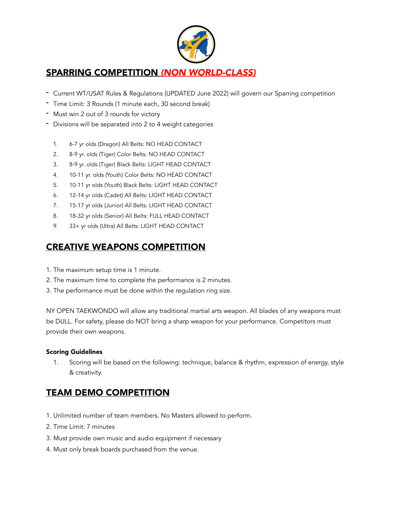

### SPARRING COMPETITION *(NON WORLD-CLASS)*

- Current WT/USAT Rules & Regulations (UPDATED June 2022) will govern our Sparring competition
- Time Limit: 3 Rounds (1 minute each, 30 second break)
- Must win 2 out of 3 rounds for victory
- Divisions will be separated into 2 to 4 weight categories
	- 1. 6-7 yr olds (Dragon) All Belts: NO HEAD CONTACT
	- 2. 8-9 yr. olds (Tiger) Color Belts: NO HEAD CONTACT
	- 3. 8-9 yr. olds (Tiger) Black Belts: LIGHT HEAD CONTACT
	- 4. 10-11 yr. olds (Youth) Color Belts: NO HEAD CONTACT
	- 5. 10-11 yr olds (Youth) Black Belts: LIGHT HEAD CONTACT
	- 6. 12-14 yr olds (Cadet) All Belts: LIGHT HEAD CONTACT
	- 7. 15-17 yr olds (Junior) All Belts: LIGHT HEAD CONTACT
	- 8. 18-32 yr olds (Senior) All Belts: FULL HEAD CONTACT
	- 9. 33+ yr olds (Ultra) All Belts: LIGHT HEAD CONTACT

### CREATIVE WEAPONS COMPETITION

- 1. The maximum setup time is 1 minute.
- 2. The maximum time to complete the performance is 2 minutes.
- 3. The performance must be done within the regulation ring size.

NY OPEN TAEKWONDO will allow any traditional martial arts weapon. All blades of any weapons must be DULL. For safety, please do NOT bring a sharp weapon for your performance. Competitors must provide their own weapons.

#### Scoring Guidelines

1. Scoring will be based on the following: technique, balance & rhythm, expression of energy, style & creativity.

### TEAM DEMO COMPETITION

- 1. Unlimited number of team members. No Masters allowed to perform.
- 2. Time Limit: 7 minutes
- 3. Must provide own music and audio equipment if necessary
- 4. Must only break boards purchased from the venue.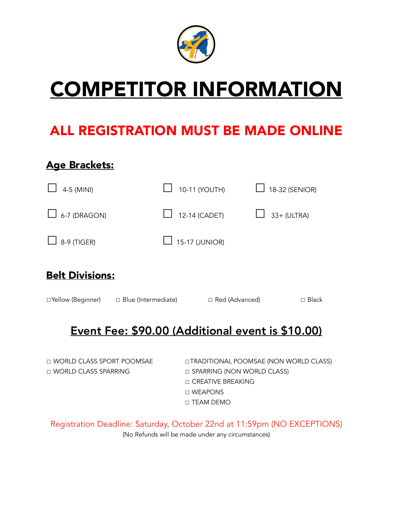

# COMPETITOR INFORMATION

## ALL REGISTRATION MUST BE MADE ONLINE

## Age Brackets:

| 4-5 (MINI)          | 10-11 (YOUTH)         | 18-32 (SENIOR)     |
|---------------------|-----------------------|--------------------|
| $\Box$ 6-7 (DRAGON) | $\Box$ 12-14 (CADET)  | $\Box$ 33+ (ULTRA) |
| $\Box$ 8-9 (TIGER)  | $\Box$ 15-17 (JUNIOR) |                    |

## Belt Divisions:

☐Yellow (Beginner) ☐ Blue (Intermediate) ☐ Red (Advanced) ☐ Black

## Event Fee: \$90.00 (Additional event is \$10.00)

☐ WORLD CLASS SPARRING ☐ SPARRING (NON WORLD CLASS)

☐ WORLD CLASS SPORT POOMSAE ☐TRADITIONAL POOMSAE (NON WORLD CLASS) ☐ CREATIVE BREAKING ☐ WEAPONS ☐ TEAM DEMO

Registration Deadline: Saturday, October 22nd at 11:59pm (NO EXCEPTIONS) (No Refunds will be made under any circumstances)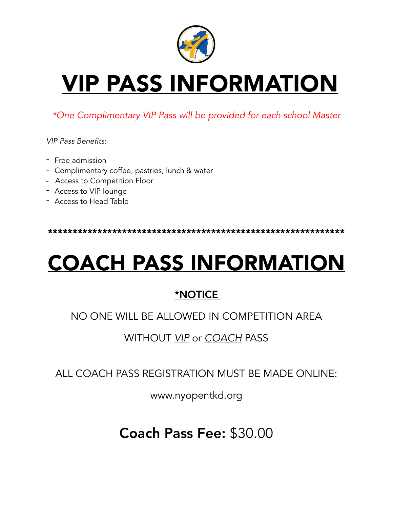

# VIP PASS INFORMATION

### *\*One Complimentary VIP Pass will be provided for each school Master*

### *VIP Pass Benefits:*

- Free admission
- Complimentary coffee, pastries, lunch & water
- Access to Competition Floor
- Access to VIP lounge
- Access to Head Table

\*\*\*\*\*\*\*\*\*\*\*\*\*\*\*\*\*\*\*\*\*\*\*\*\*\*\*\*\*\*\*\*\*\*\*\*\*\*\*\*\*\*\*\*\*\*\*\*\*\*\*\*\*\*\*\*\*\*\*\*

# COACH PASS INFORMATION

### \*NOTICE

### NO ONE WILL BE ALLOWED IN COMPETITION AREA

### WITHOUT *VIP* or *COACH* PASS

ALL COACH PASS REGISTRATION MUST BE MADE ONLINE:

www.nyopentkd.org

Coach Pass Fee: \$30.00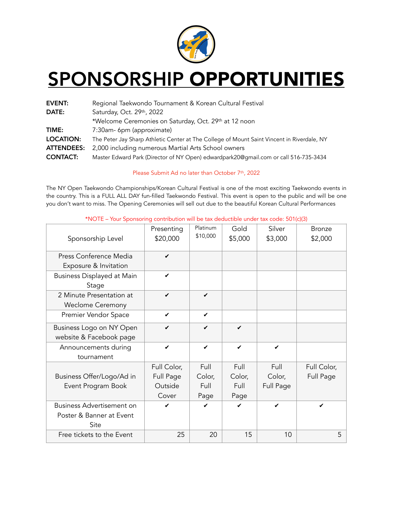

## SPONSORSHIP OPPORTUNITIES

| <b>EVENT:</b>     | Regional Taekwondo Tournament & Korean Cultural Festival                                   |
|-------------------|--------------------------------------------------------------------------------------------|
| DATE:             | Saturday, Oct. 29th, 2022                                                                  |
|                   | *Welcome Ceremonies on Saturday, Oct. 29th at 12 noon                                      |
| TIME:             | 7:30am- 6pm (approximate)                                                                  |
| <b>LOCATION:</b>  | The Peter Jay Sharp Athletic Center at The College of Mount Saint Vincent in Riverdale, NY |
| <b>ATTENDEES:</b> | 2,000 including numerous Martial Arts School owners                                        |
| <b>CONTACT:</b>   | Master Edward Park (Director of NY Open) edwardpark20@gmail.com or call 516-735-3434       |

#### Please Submit Ad no later than October 7<sup>th</sup>, 2022

The NY Open Taekwondo Championships/Korean Cultural Festival is one of the most exciting Taekwondo events in the country. This is a FULL ALL DAY fun-filled Taekwondo Festival. This event is open to the public and will be one you don't want to miss. The Opening Ceremonies will sell out due to the beautiful Korean Cultural Performances

| Sponsorship Level                                                    | Presenting<br>\$20,000 | Platinum<br>\$10,000 | Gold<br>\$5,000 | Silver<br>\$3,000 | <b>Bronze</b><br>\$2,000 |
|----------------------------------------------------------------------|------------------------|----------------------|-----------------|-------------------|--------------------------|
| Press Conference Media                                               | ✔                      |                      |                 |                   |                          |
| Exposure & Invitation                                                | ✔                      |                      |                 |                   |                          |
| Business Displayed at Main<br>Stage                                  |                        |                      |                 |                   |                          |
| 2 Minute Presentation at<br><b>Weclome Ceremony</b>                  | $\checkmark$           | $\checkmark$         |                 |                   |                          |
| Premier Vendor Space                                                 | ✓                      | ✔                    |                 |                   |                          |
| Business Logo on NY Open<br>website & Facebook page                  | ✔                      | ✔                    | ✔               |                   |                          |
| Announcements during<br>tournament                                   | ✔                      | ✔                    | ✓               | ✓                 |                          |
|                                                                      | Full Color,            | Full                 | Full            | Full              | Full Color,              |
| Business Offer/Logo/Ad in                                            | Full Page              | Color,               | Color,          | Color,            | Full Page                |
| Event Program Book                                                   | Outside                | Full                 | Full            | Full Page         |                          |
|                                                                      | Cover                  | Page                 | Page            |                   |                          |
| <b>Business Advertisement on</b><br>Poster & Banner at Event<br>Site | ✔                      | ✔                    | ✓               | ✔                 | ✓                        |
| Free tickets to the Event                                            | 25                     | 20                   | 15              | 10                | 5                        |

\*NOTE – Your Sponsoring contribution will be tax deductible under tax code: 501(c)(3)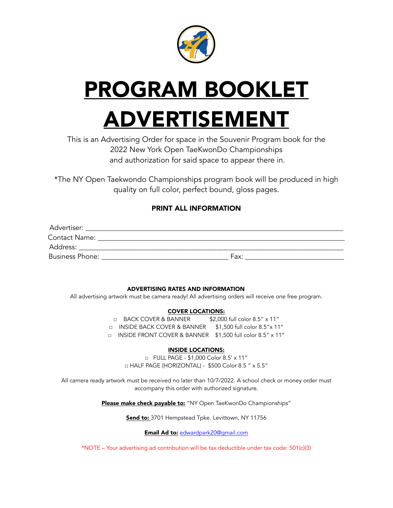

# PROGRAM BOOKLET ADVERTISEMENT

This is an Advertising Order for space in the Souvenir Program book for the 2022 New York Open TaeKwonDo Championships and authorization for said space to appear there in.

\*The NY Open Taekwondo Championships program book will be produced in high quality on full color, perfect bound, gloss pages.

#### PRINT ALL INFORMATION

| Advertiser:            |      |
|------------------------|------|
| Contact Name:          |      |
| Address:               |      |
| <b>Business Phone:</b> | Fax: |

#### ADVERTISING RATES AND INFORMATION

All advertising artwork must be camera ready! All advertising orders will receive one free program.

#### COVER LOCATIONS:

□ BACK COVER & BANNER \$2,000 full color 8.5" x 11" □ INSIDE BACK COVER & BANNER \$1,500 full color 8.5"x 11" □ INSIDE FRONT COVER & BANNER \$1,500 full color 8.5" x 11"

#### INSIDE LOCATIONS:

□ FULL PAGE - \$1,000 Color 8.5' x 11" □ HALF PAGE (HORIZONTAL) - \$500 Color 8.5 " x 5.5"

All camera ready artwork must be received no later than 10/7/2022. A school check or money order must accompany this order with authorized signature.

Please make check payable to: "NY Open TaeKwonDo Championships"

Send to: 3701 Hempstead Tpke. Levittown, NY 11756

Email Ad to: [edwardpark20@gmail.com](mailto:edwardpark20@gmail.com)

\*NOTE – Your advertising ad contribution will be tax deductible under tax code: 501(c)(3)